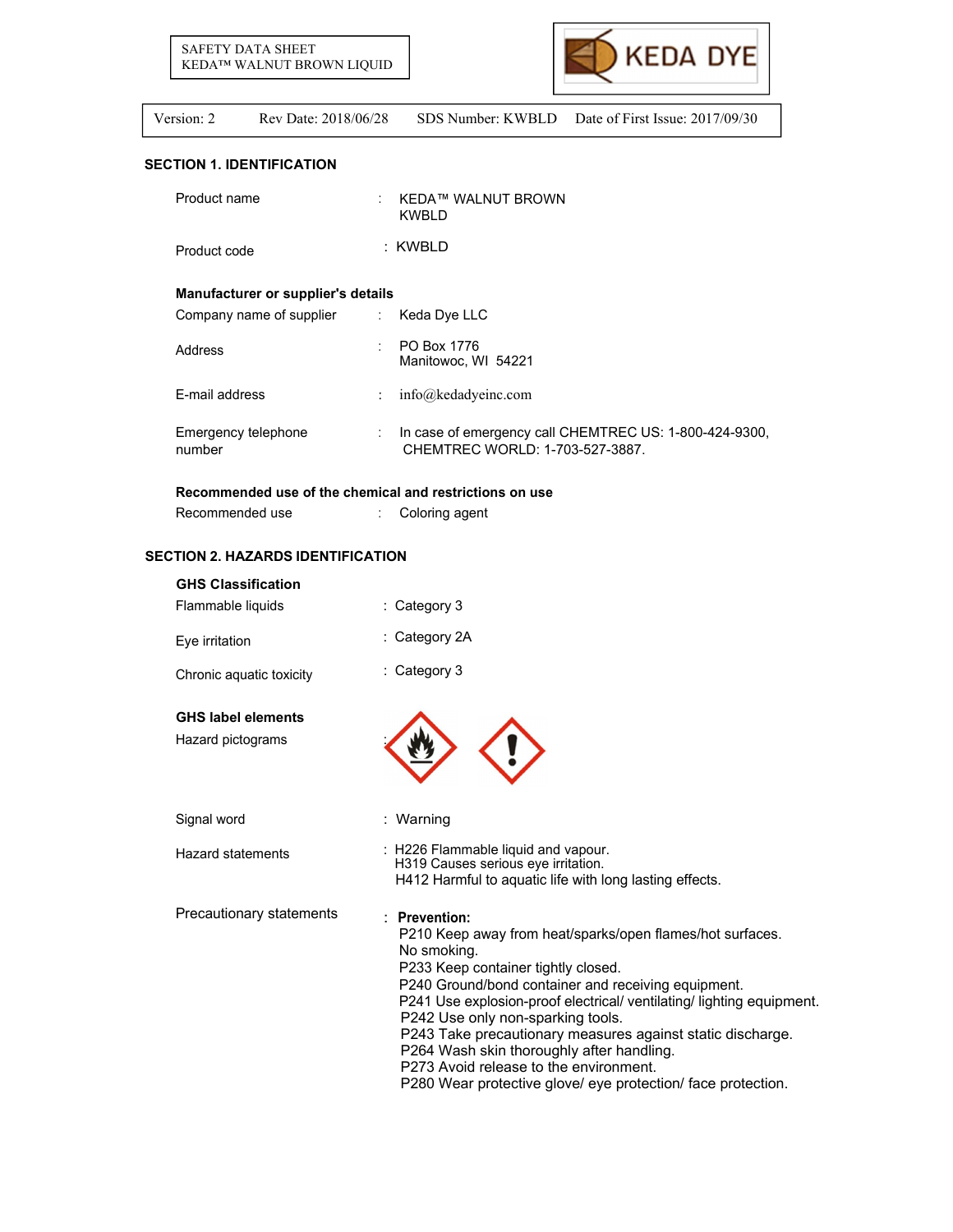

# **SECTION 1. IDENTIFICATION**

| Product name                       |                              | <b>KEDA™ WALNUT BROWN</b><br><b>KWBLD</b>                                                   |
|------------------------------------|------------------------------|---------------------------------------------------------------------------------------------|
| Product code                       |                              | : KWBLD                                                                                     |
| Manufacturer or supplier's details |                              |                                                                                             |
| Company name of supplier           | $\mathcal{L}_{\mathrm{max}}$ | Keda Dye LLC                                                                                |
| Address                            | ÷.                           | PO Box 1776<br>Manitowoc, WI 54221                                                          |
| F-mail address                     | $\mathbb{R}^{\mathbb{Z}}$    | $info@k$ edadyeinc.com                                                                      |
| Emergency telephone<br>number      |                              | : In case of emergency call CHEMTREC US: 1-800-424-9300,<br>CHEMTREC WORLD: 1-703-527-3887. |

# **Recommended use of the chemical and restrictions on use**

# **SECTION 2. HAZARDS IDENTIFICATION**

| <b>GHS Classification</b>                      |                                                                                                                                                                                                                                                                                                                                                                                                                                                                                                                            |
|------------------------------------------------|----------------------------------------------------------------------------------------------------------------------------------------------------------------------------------------------------------------------------------------------------------------------------------------------------------------------------------------------------------------------------------------------------------------------------------------------------------------------------------------------------------------------------|
| Flammable liquids                              | : Category 3                                                                                                                                                                                                                                                                                                                                                                                                                                                                                                               |
| Eye irritation                                 | : Category 2A                                                                                                                                                                                                                                                                                                                                                                                                                                                                                                              |
| Chronic aquatic toxicity                       | : Category 3                                                                                                                                                                                                                                                                                                                                                                                                                                                                                                               |
| <b>GHS label elements</b><br>Hazard pictograms |                                                                                                                                                                                                                                                                                                                                                                                                                                                                                                                            |
| Signal word                                    | : Warning                                                                                                                                                                                                                                                                                                                                                                                                                                                                                                                  |
| <b>Hazard statements</b>                       | : H226 Flammable liquid and vapour.<br>H319 Causes serious eye irritation.<br>H412 Harmful to aquatic life with long lasting effects.                                                                                                                                                                                                                                                                                                                                                                                      |
| Precautionary statements                       | : Prevention:<br>P210 Keep away from heat/sparks/open flames/hot surfaces.<br>No smoking.<br>P233 Keep container tightly closed.<br>P240 Ground/bond container and receiving equipment.<br>P241 Use explosion-proof electrical/ ventilating/ lighting equipment.<br>P242 Use only non-sparking tools.<br>P243 Take precautionary measures against static discharge.<br>P264 Wash skin thoroughly after handling.<br>P273 Avoid release to the environment.<br>P280 Wear protective glove/ eye protection/ face protection. |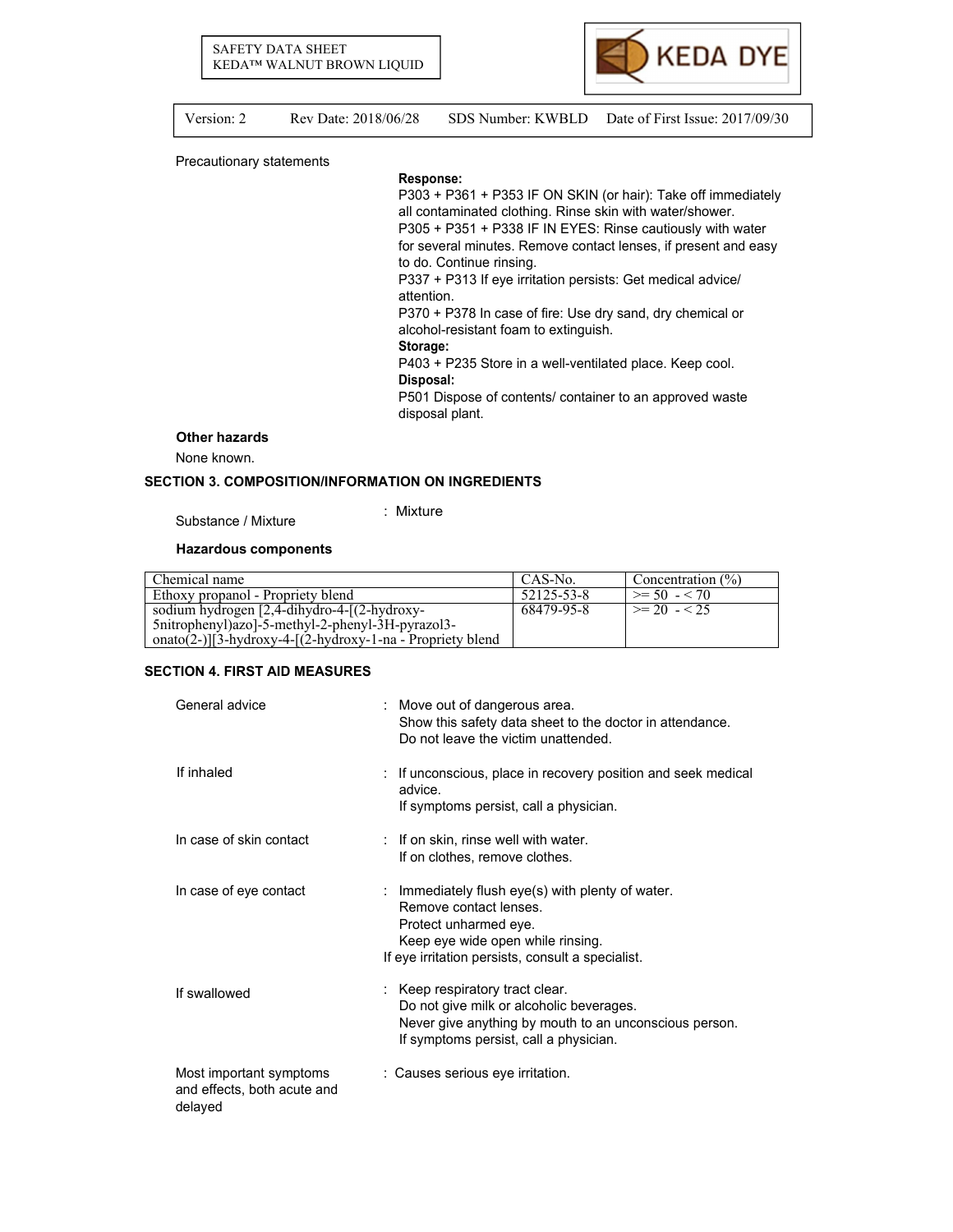

| Rev Date: 2018/06/28<br>Version: 2 |  | SDS Number: KWBLD Date of First Issue: 2017/09/30 |
|------------------------------------|--|---------------------------------------------------|
|------------------------------------|--|---------------------------------------------------|

# Precautionary statements

#### **Response:**

P303 + P361 + P353 IF ON SKIN (or hair): Take off immediately all contaminated clothing. Rinse skin with water/shower. P305 + P351 + P338 IF IN EYES: Rinse cautiously with water for several minutes. Remove contact lenses, if present and easy to do. Continue rinsing.

P337 + P313 If eye irritation persists: Get medical advice/ attention.

P370 + P378 In case of fire: Use dry sand, dry chemical or alcohol-resistant foam to extinguish.

# **Storage:**

P403 + P235 Store in a well-ventilated place. Keep cool. **Disposal:** 

P501 Dispose of contents/ container to an approved waste disposal plant.

#### **Other hazards**

None known.

### **SECTION 3. COMPOSITION/INFORMATION ON INGREDIENTS**

Substance / Mixture : Mixture

#### **Hazardous components**

| Chemical name                                                | CAS-No.    | Concentration $(\%)$ |
|--------------------------------------------------------------|------------|----------------------|
| Ethoxy propanol - Propriety blend                            | 52125-53-8 | $\ge$ 50 - < 70      |
| sodium hydrogen $[2,4$ -dihydro-4- $[2-hydr$ oxy-            | 68479-95-8 | $\geq$ 20 - < 25     |
| 5nitrophenyl)azo]-5-methyl-2-phenyl-3H-pyrazol3-             |            |                      |
| $onato(2-)$ ][3-hydroxy-4-[(2-hydroxy-1-na - Propriety blend |            |                      |

# **SECTION 4. FIRST AID MEASURES**

| General advice                                                    | : Move out of dangerous area.<br>Show this safety data sheet to the doctor in attendance.<br>Do not leave the victim unattended.                                                              |
|-------------------------------------------------------------------|-----------------------------------------------------------------------------------------------------------------------------------------------------------------------------------------------|
| If inhaled                                                        | : If unconscious, place in recovery position and seek medical<br>advice.<br>If symptoms persist, call a physician.                                                                            |
| In case of skin contact                                           | : If on skin, rinse well with water.<br>If on clothes, remove clothes.                                                                                                                        |
| In case of eye contact                                            | : Immediately flush eye(s) with plenty of water.<br>Remove contact lenses.<br>Protect unharmed eye.<br>Keep eye wide open while rinsing.<br>If eye irritation persists, consult a specialist. |
| If swallowed                                                      | : Keep respiratory tract clear.<br>Do not give milk or alcoholic beverages.<br>Never give anything by mouth to an unconscious person.<br>If symptoms persist, call a physician.               |
| Most important symptoms<br>and effects, both acute and<br>delayed | : Causes serious eye irritation.                                                                                                                                                              |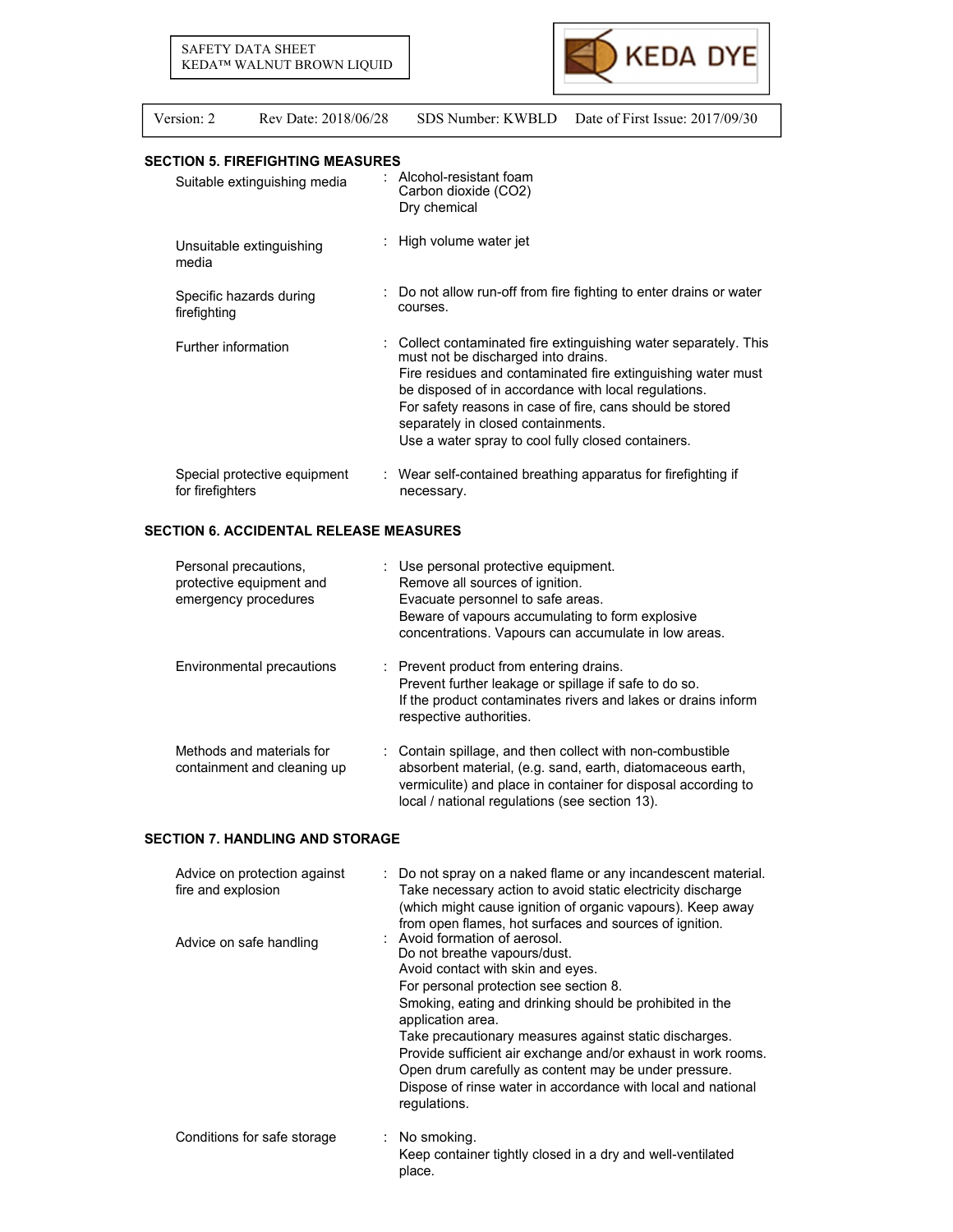

#### **SECTION 5. FIREFIGHTING MEASURES**

| Suitable extinguishing media                     | : Alcohol-resistant foam<br>Carbon dioxide (CO2)<br>Dry chemical                                                                                                                                                                                                                                                                                                                       |
|--------------------------------------------------|----------------------------------------------------------------------------------------------------------------------------------------------------------------------------------------------------------------------------------------------------------------------------------------------------------------------------------------------------------------------------------------|
| Unsuitable extinguishing<br>media                | High volume water jet                                                                                                                                                                                                                                                                                                                                                                  |
| Specific hazards during<br>firefighting          | $\therefore$ Do not allow run-off from fire fighting to enter drains or water<br>courses.                                                                                                                                                                                                                                                                                              |
| Further information                              | Collect contaminated fire extinguishing water separately. This<br>must not be discharged into drains.<br>Fire residues and contaminated fire extinguishing water must<br>be disposed of in accordance with local regulations.<br>For safety reasons in case of fire, cans should be stored<br>separately in closed containments.<br>Use a water spray to cool fully closed containers. |
| Special protective equipment<br>for firefighters | : Wear self-contained breathing apparatus for firefighting if<br>necessary.                                                                                                                                                                                                                                                                                                            |
|                                                  |                                                                                                                                                                                                                                                                                                                                                                                        |

# **SECTION 6. ACCIDENTAL RELEASE MEASURES**

| Personal precautions,<br>protective equipment and<br>emergency procedures | : Use personal protective equipment.<br>Remove all sources of ignition.<br>Evacuate personnel to safe areas.<br>Beware of vapours accumulating to form explosive<br>concentrations. Vapours can accumulate in low areas.                   |
|---------------------------------------------------------------------------|--------------------------------------------------------------------------------------------------------------------------------------------------------------------------------------------------------------------------------------------|
| Environmental precautions                                                 | : Prevent product from entering drains.<br>Prevent further leakage or spillage if safe to do so.<br>If the product contaminates rivers and lakes or drains inform<br>respective authorities.                                               |
| Methods and materials for<br>containment and cleaning up                  | : Contain spillage, and then collect with non-combustible<br>absorbent material, (e.g. sand, earth, diatomaceous earth,<br>vermiculite) and place in container for disposal according to<br>local / national regulations (see section 13). |

# **SECTION 7. HANDLING AND STORAGE**

| Advice on protection against<br>fire and explosion<br>Advice on safe handling | : Do not spray on a naked flame or any incandescent material.<br>Take necessary action to avoid static electricity discharge<br>(which might cause ignition of organic vapours). Keep away<br>from open flames, hot surfaces and sources of ignition.<br>$\pm$ Avoid formation of aerosol.<br>Do not breathe vapours/dust.<br>Avoid contact with skin and eyes.<br>For personal protection see section 8.<br>Smoking, eating and drinking should be prohibited in the<br>application area.<br>Take precautionary measures against static discharges.<br>Provide sufficient air exchange and/or exhaust in work rooms.<br>Open drum carefully as content may be under pressure.<br>Dispose of rinse water in accordance with local and national |
|-------------------------------------------------------------------------------|------------------------------------------------------------------------------------------------------------------------------------------------------------------------------------------------------------------------------------------------------------------------------------------------------------------------------------------------------------------------------------------------------------------------------------------------------------------------------------------------------------------------------------------------------------------------------------------------------------------------------------------------------------------------------------------------------------------------------------------------|
| Conditions for safe storage                                                   | regulations.<br>$\therefore$ No smoking.<br>Keep container tightly closed in a dry and well-ventilated<br>place.                                                                                                                                                                                                                                                                                                                                                                                                                                                                                                                                                                                                                               |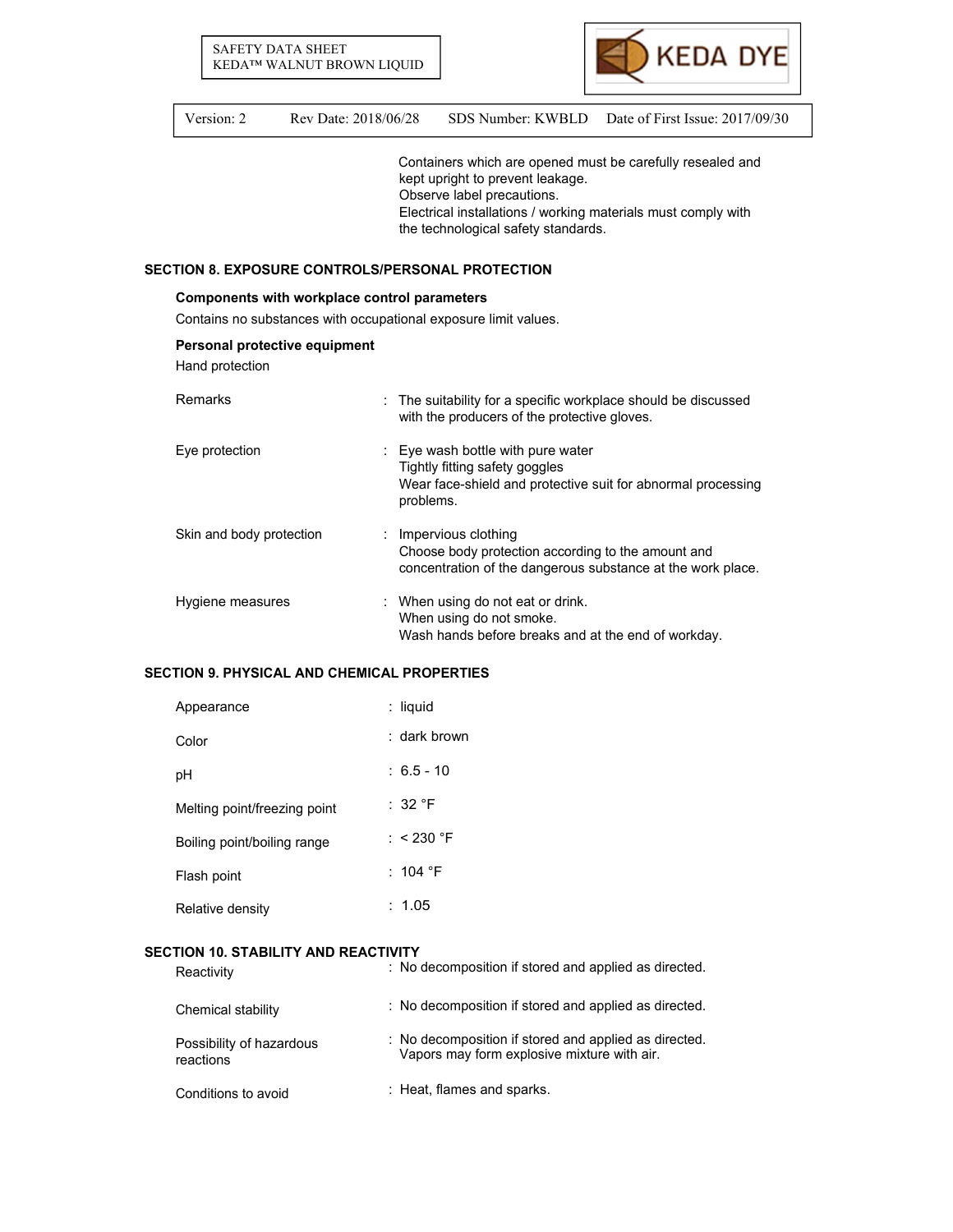

 Containers which are opened must be carefully resealed and kept upright to prevent leakage. Observe label precautions. Electrical installations / working materials must comply with the technological safety standards.

# **SECTION 8. EXPOSURE CONTROLS/PERSONAL PROTECTION**

#### **Components with workplace control parameters**

Contains no substances with occupational exposure limit values.

# **Personal protective equipment**

Hand protection

| Remarks                  | : The suitability for a specific workplace should be discussed<br>with the producers of the protective gloves.                                     |
|--------------------------|----------------------------------------------------------------------------------------------------------------------------------------------------|
| Eye protection           | $:$ Eye wash bottle with pure water<br>Tightly fitting safety goggles<br>Wear face-shield and protective suit for abnormal processing<br>problems. |
| Skin and body protection | $:$ Impervious clothing<br>Choose body protection according to the amount and<br>concentration of the dangerous substance at the work place.       |
| Hygiene measures         | : When using do not eat or drink.<br>When using do not smoke.<br>Wash hands before breaks and at the end of workday.                               |

# **SECTION 9. PHYSICAL AND CHEMICAL PROPERTIES**

| Appearance                   | : liquid           |
|------------------------------|--------------------|
| Color                        | : dark brown       |
| рH                           | $: 6.5 - 10$       |
| Melting point/freezing point | :32 °F             |
| Boiling point/boiling range  | : $< 230$ °F       |
| Flash point                  | : 104 $^{\circ}$ F |
| Relative density             | : 1.05             |

# **SECTION 10. STABILITY AND REACTIVITY**

| Reactivity                            | : No decomposition if stored and applied as directed.                                                |
|---------------------------------------|------------------------------------------------------------------------------------------------------|
| Chemical stability                    | : No decomposition if stored and applied as directed.                                                |
| Possibility of hazardous<br>reactions | : No decomposition if stored and applied as directed.<br>Vapors may form explosive mixture with air. |
| Conditions to avoid                   | : Heat, flames and sparks.                                                                           |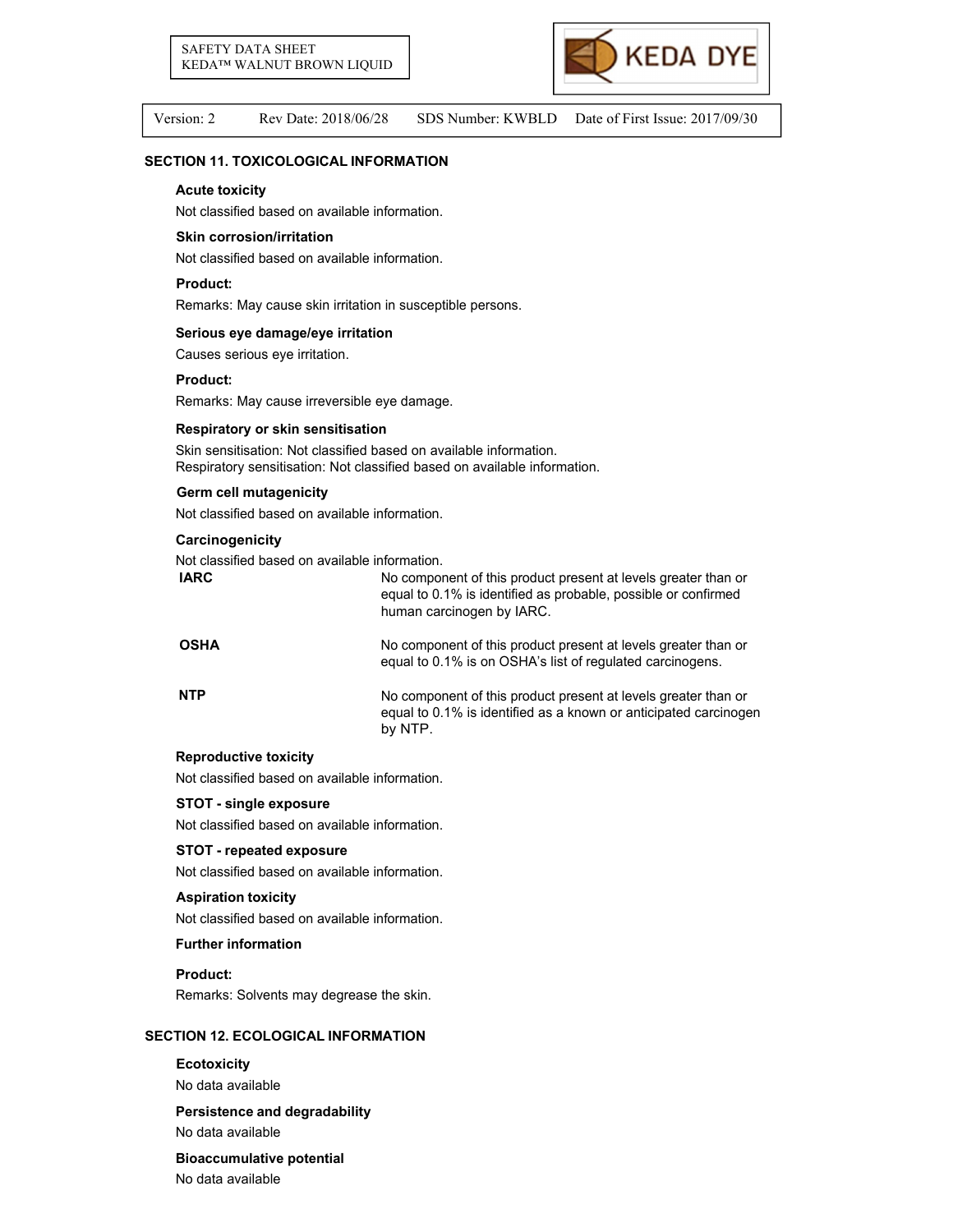

#### **SECTION 11. TOXICOLOGICAL INFORMATION**

#### **Acute toxicity**

Not classified based on available information.

#### **Skin corrosion/irritation**

Not classified based on available information.

#### **Product:**

Remarks: May cause skin irritation in susceptible persons.

#### **Serious eye damage/eye irritation**

Causes serious eye irritation.

#### **Product:**

Remarks: May cause irreversible eye damage.

#### **Respiratory or skin sensitisation**

Skin sensitisation: Not classified based on available information. Respiratory sensitisation: Not classified based on available information.

#### **Germ cell mutagenicity**

Not classified based on available information.

#### **Carcinogenicity**

Not classified based on available information.

| <b>IARC</b> | No component of this product present at levels greater than or<br>equal to 0.1% is identified as probable, possible or confirmed<br>human carcinogen by IARC. |
|-------------|---------------------------------------------------------------------------------------------------------------------------------------------------------------|
| <b>OSHA</b> | No component of this product present at levels greater than or<br>equal to 0.1% is on OSHA's list of regulated carcinogens.                                   |
| <b>NTP</b>  | No component of this product present at levels greater than or<br>equal to 0.1% is identified as a known or anticipated carcinogen<br>by NTP.                 |

#### **Reproductive toxicity**

Not classified based on available information.

#### **STOT - single exposure**

Not classified based on available information.

#### **STOT - repeated exposure**

Not classified based on available information.

#### **Aspiration toxicity**

Not classified based on available information.

#### **Further information**

#### **Product:**

Remarks: Solvents may degrease the skin.

# **SECTION 12. ECOLOGICAL INFORMATION**

#### **Ecotoxicity**

No data available

#### **Persistence and degradability**

No data available

# **Bioaccumulative potential**

No data available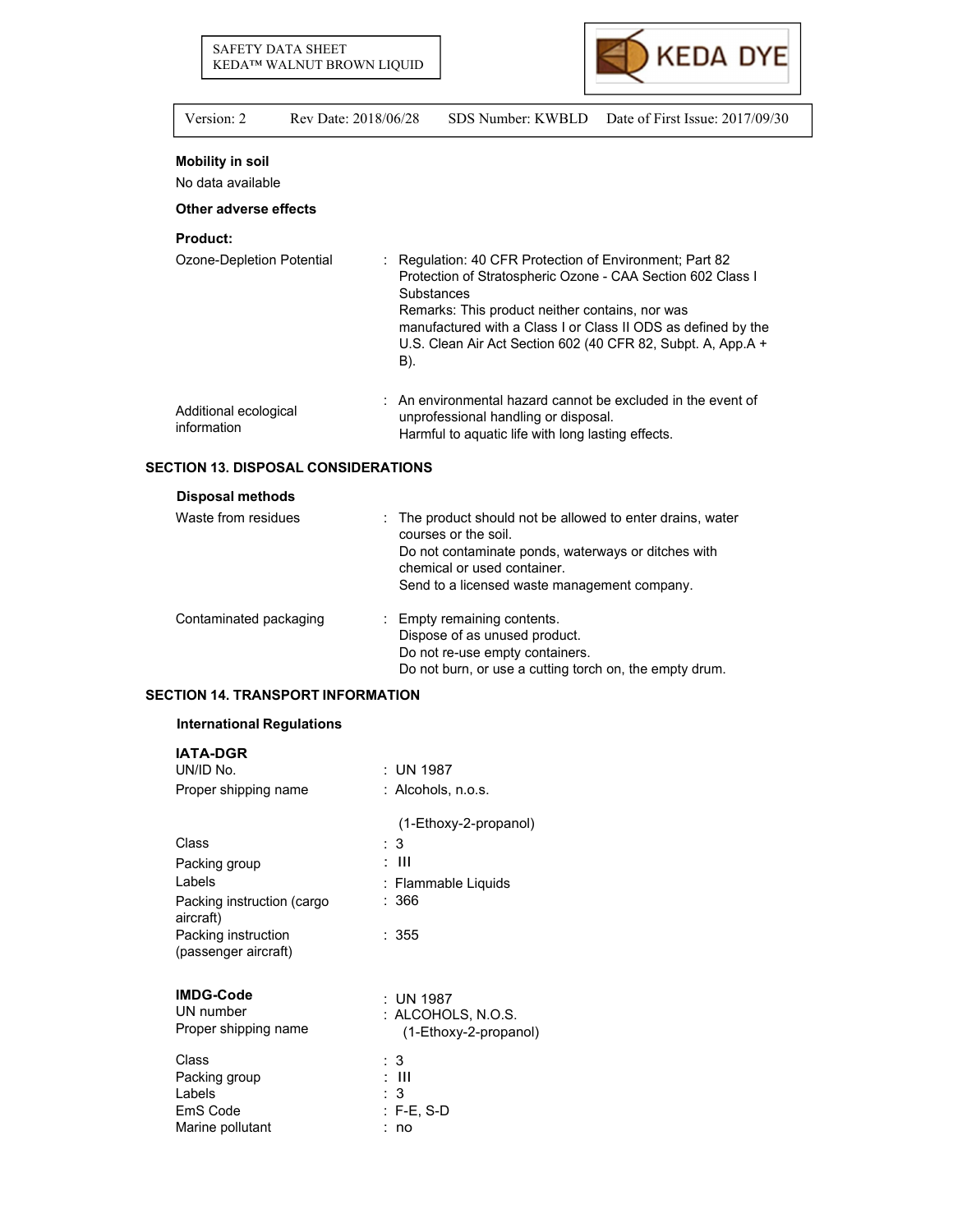

| Version: 2 | Rev Date: 2018/06/28 |  | SDS Number: KWBLD Date of First Issue: 2017/09/30 |
|------------|----------------------|--|---------------------------------------------------|
|------------|----------------------|--|---------------------------------------------------|

# **Mobility in soil**

No data available

### **Other adverse effects**

**Product:**

| Ozone-Depletion Potential | : Regulation: 40 CFR Protection of Environment: Part 82<br>Protection of Stratospheric Ozone - CAA Section 602 Class I<br><b>Substances</b><br>Remarks: This product neither contains, nor was<br>manufactured with a Class I or Class II ODS as defined by the<br>U.S. Clean Air Act Section 602 (40 CFR 82, Subpt. A, App.A +<br>B). |
|---------------------------|----------------------------------------------------------------------------------------------------------------------------------------------------------------------------------------------------------------------------------------------------------------------------------------------------------------------------------------|
| اممزومامهم امعمزازاواه    | : An environmental hazard cannot be excluded in the event of                                                                                                                                                                                                                                                                           |

| Additional ecological<br>information | An environmental nazard cannot be excluded in the event of |
|--------------------------------------|------------------------------------------------------------|
|                                      | unprofessional handling or disposal.                       |
|                                      | Harmful to aquatic life with long lasting effects.         |

# **SECTION 13. DISPOSAL CONSIDERATIONS**

# **Disposal methods**

| Waste from residues    | : The product should not be allowed to enter drains, water<br>courses or the soil.<br>Do not contaminate ponds, waterways or ditches with<br>chemical or used container.<br>Send to a licensed waste management company. |
|------------------------|--------------------------------------------------------------------------------------------------------------------------------------------------------------------------------------------------------------------------|
| Contaminated packaging | : Empty remaining contents.<br>Dispose of as unused product.<br>Do not re-use empty containers.<br>Do not burn, or use a cutting torch on, the empty drum.                                                               |

# **SECTION 14. TRANSPORT INFORMATION**

# **International Regulations**

| <b>IATA-DGR</b><br>UN/ID No.                                                                                                | : UN 1987                                                                     |
|-----------------------------------------------------------------------------------------------------------------------------|-------------------------------------------------------------------------------|
| Proper shipping name                                                                                                        | :Alcohols, n.o.s.                                                             |
| Class<br>Packing group<br>I abels<br>Packing instruction (cargo<br>aircraft)<br>Packing instruction<br>(passenger aircraft) | (1-Ethoxy-2-propanol)<br>: 3<br>: III<br>: Flammable Liquids<br>:366<br>: 355 |
| <b>IMDG-Code</b><br>UN number<br>Proper shipping name                                                                       | : UN 1987<br>:ALCOHOLS, N.O.S.<br>(1-Ethoxy-2-propanol)                       |
| Class<br>Packing group<br>Labels<br>EmS Code<br>Marine pollutant                                                            | : 3<br>: III<br>$\cdot$ 3<br>: F-E, S-D<br>no                                 |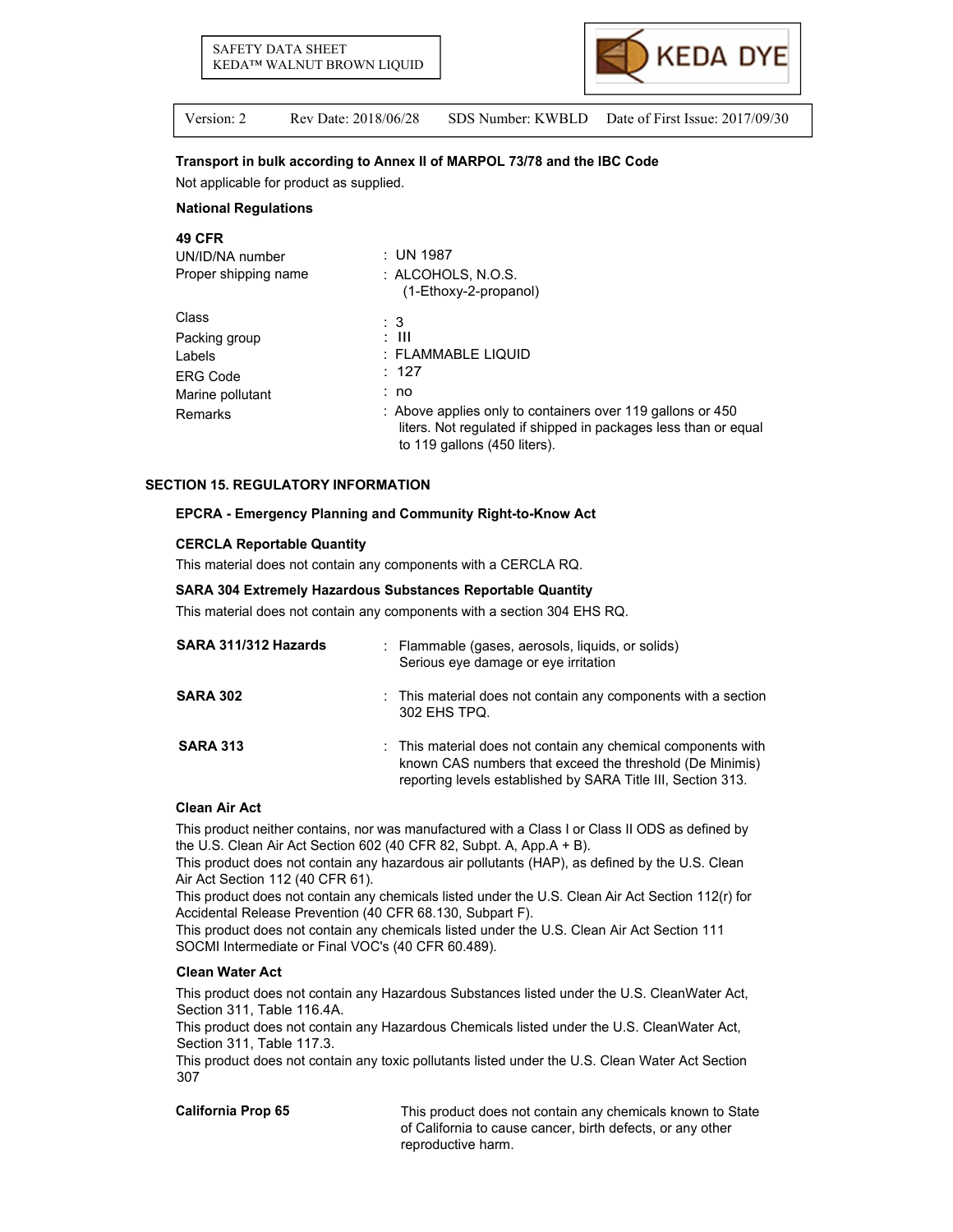

#### **Transport in bulk according to Annex II of MARPOL 73/78 and the IBC Code**

Not applicable for product as supplied.

#### **National Regulations**

| <b>49 CFR</b>        |                                                                                                                                                               |
|----------------------|---------------------------------------------------------------------------------------------------------------------------------------------------------------|
| UN/ID/NA number      | $:$ UN 1987                                                                                                                                                   |
| Proper shipping name | $:$ ALCOHOLS, N.O.S.<br>(1-Ethoxy-2-propanol)                                                                                                                 |
| Class                | :3                                                                                                                                                            |
| Packing group        | : III                                                                                                                                                         |
| Labels               | : FLAMMABLE LIQUID                                                                                                                                            |
| <b>ERG Code</b>      | : 127                                                                                                                                                         |
| Marine pollutant     | : no                                                                                                                                                          |
| Remarks              | : Above applies only to containers over 119 gallons or 450<br>liters. Not regulated if shipped in packages less than or equal<br>to 119 gallons (450 liters). |

#### **SECTION 15. REGULATORY INFORMATION**

#### **EPCRA - Emergency Planning and Community Right-to-Know Act**

#### **CERCLA Reportable Quantity**

This material does not contain any components with a CERCLA RQ.

#### **SARA 304 Extremely Hazardous Substances Reportable Quantity**

This material does not contain any components with a section 304 EHS RQ.

| SARA 311/312 Hazards | : Flammable (gases, aerosols, liquids, or solids)<br>Serious eye damage or eye irritation                                                                                                 |
|----------------------|-------------------------------------------------------------------------------------------------------------------------------------------------------------------------------------------|
| <b>SARA 302</b>      | : This material does not contain any components with a section<br>302 EHS TPQ.                                                                                                            |
| <b>SARA 313</b>      | : This material does not contain any chemical components with<br>known CAS numbers that exceed the threshold (De Minimis)<br>reporting levels established by SARA Title III, Section 313. |

#### **Clean Air Act**

This product neither contains, nor was manufactured with a Class I or Class II ODS as defined by the U.S. Clean Air Act Section 602 (40 CFR 82, Subpt. A, App.A + B).

This product does not contain any hazardous air pollutants (HAP), as defined by the U.S. Clean Air Act Section 112 (40 CFR 61).

This product does not contain any chemicals listed under the U.S. Clean Air Act Section 112(r) for Accidental Release Prevention (40 CFR 68.130, Subpart F).

This product does not contain any chemicals listed under the U.S. Clean Air Act Section 111 SOCMI Intermediate or Final VOC's (40 CFR 60.489).

#### **Clean Water Act**

This product does not contain any Hazardous Substances listed under the U.S. CleanWater Act, Section 311, Table 116.4A.

This product does not contain any Hazardous Chemicals listed under the U.S. CleanWater Act, Section 311, Table 117.3.

This product does not contain any toxic pollutants listed under the U.S. Clean Water Act Section 307

**California Prop 65** This product does not contain any chemicals known to State of California to cause cancer, birth defects, or any other reproductive harm.